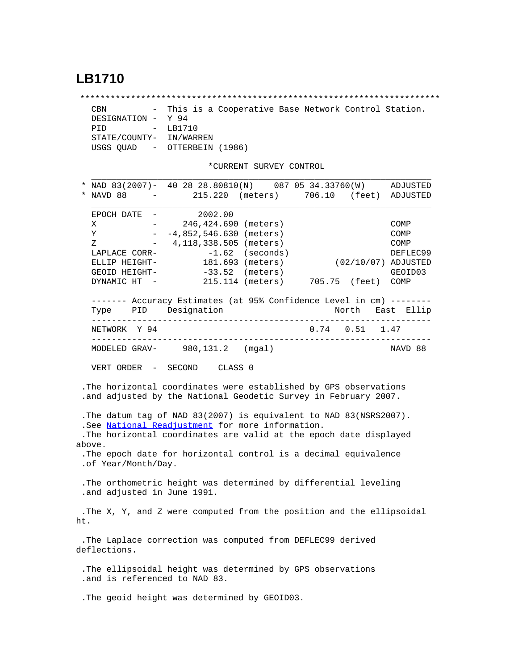## **LB1710**

\*\*\*\*\*\*\*\*\*\*\*\*\*\*\*\*\*\*\*\*\*\*\*\*\*\*\*\*\*\*\*\*\*\*\*\*\*\*\*\*\*\*\*\*\*\*\*\*\*\*\*\*\*\*\*\*\*\*\*\*\*\*\*\*\*\*\*\*\*\*\* CBN - This is a Cooperative Base Network Control Station. DESIGNATION - Y 94 PID - LB1710 STATE/COUNTY- IN/WARREN USGS QUAD - OTTERBEIN (1986)

\*CURRENT SURVEY CONTROL

 $\mathcal{L} = \{ \mathcal{L} = \{ \mathcal{L} \} \cup \{ \mathcal{L} \} \cup \{ \mathcal{L} \} \cup \{ \mathcal{L} \} \cup \{ \mathcal{L} \} \cup \{ \mathcal{L} \} \cup \{ \mathcal{L} \} \cup \{ \mathcal{L} \} \cup \{ \mathcal{L} \} \cup \{ \mathcal{L} \} \cup \{ \mathcal{L} \} \cup \{ \mathcal{L} \} \cup \{ \mathcal{L} \} \cup \{ \mathcal{L} \} \cup \{ \mathcal{L} \} \cup \{ \mathcal{L} \} \cup \{ \mathcal{L} \} \cup$ 

|     | NAD 83(2007)- 40 28 28.80810(N) 087 05 34.33760(W)<br>NAVD 88<br>$\sim 10^{11}$ and $\sim 10^{11}$                                  |         | 215.220 (meters)                                  |             | ADJUSTED<br>706.10 (feet) ADJUSTED |
|-----|-------------------------------------------------------------------------------------------------------------------------------------|---------|---------------------------------------------------|-------------|------------------------------------|
|     |                                                                                                                                     |         |                                                   |             |                                    |
|     | EPOCH DATE -<br>$\frac{1}{2}$ and $\frac{1}{2}$                                                                                     | 2002.00 |                                                   |             |                                    |
|     | X<br>Υ                                                                                                                              |         | 246,424.690 (meters)<br>$-4,852,546.630$ (meters) |             | COMP<br>COMP                       |
|     | Ζ                                                                                                                                   |         | $-4,118,338.505$ (meters)                         |             | COMP                               |
|     | LAPLACE CORR-                                                                                                                       |         | $-1.62$ (seconds)                                 |             | DEFLEC99                           |
|     | ELLIP HEIGHT-                                                                                                                       |         | 181.693 (meters)                                  |             | $(02/10/07)$ ADJUSTED              |
|     | GEOID HEIGHT-                                                                                                                       |         | $-33.52$ (meters)                                 |             | GEOID03                            |
|     | DYNAMIC HT -                                                                                                                        |         | 215.114 (meters) 705.75 (feet) COMP               |             |                                    |
|     | ------- Accuracy Estimates (at 95% Confidence Level in cm) --------                                                                 |         |                                                   |             |                                    |
|     | Type PID Designation<br>. _ _ _ _ _ _ _ _ _ _ _ _ _                                                                                 |         | ----------------------------------                | North       | East Ellip                         |
|     | NETWORK Y 94                                                                                                                        |         |                                                   | $0.74$ 0.51 | 1.47                               |
|     | MODELED GRAV- 980, 131.2 (mgal)                                                                                                     |         |                                                   |             | NAVD 88                            |
|     | VERT ORDER - SECOND CLASS 0                                                                                                         |         |                                                   |             |                                    |
|     |                                                                                                                                     |         |                                                   |             |                                    |
|     | .The horizontal coordinates were established by GPS observations<br>.and adjusted by the National Geodetic Survey in February 2007. |         |                                                   |             |                                    |
|     | . The datum tag of NAD 83(2007) is equivalent to NAD 83(NSRS2007).                                                                  |         |                                                   |             |                                    |
|     | .See National Readjustment for more information.                                                                                    |         |                                                   |             |                                    |
|     | .The horizontal coordinates are valid at the epoch date displayed                                                                   |         |                                                   |             |                                    |
|     | above.                                                                                                                              |         |                                                   |             |                                    |
|     | .The epoch date for horizontal control is a decimal equivalence<br>.of Year/Month/Day.                                              |         |                                                   |             |                                    |
|     |                                                                                                                                     |         |                                                   |             |                                    |
|     | . The orthometric height was determined by differential leveling<br>.and adjusted in June 1991.                                     |         |                                                   |             |                                    |
|     | .The X, Y, and Z were computed from the position and the ellipsoidal                                                                |         |                                                   |             |                                    |
| ht. |                                                                                                                                     |         |                                                   |             |                                    |
|     | .The Laplace correction was computed from DEFLEC99 derived<br>deflections.                                                          |         |                                                   |             |                                    |
|     | . The ellipsoidal height was determined by GPS observations<br>.and is referenced to NAD 83.                                        |         |                                                   |             |                                    |
|     | . The geoid height was determined by GEOID03.                                                                                       |         |                                                   |             |                                    |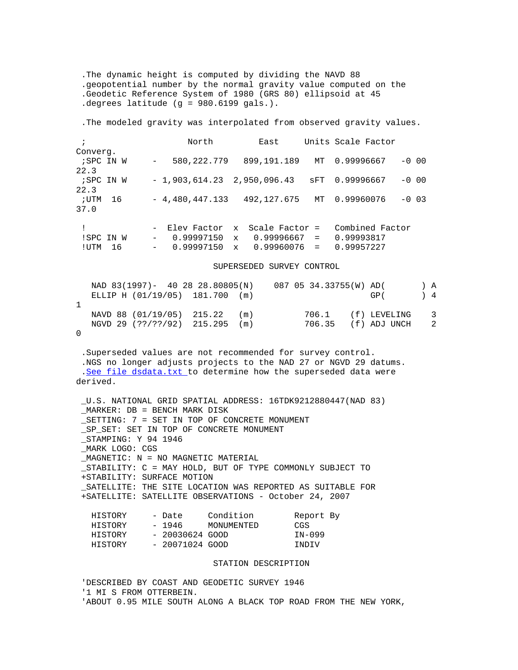.The dynamic height is computed by dividing the NAVD 88 .geopotential number by the normal gravity value computed on the .Geodetic Reference System of 1980 (GRS 80) ellipsoid at 45 .degrees latitude (g = 980.6199 gals.).

.The modeled gravity was interpolated from observed gravity values.

| $\ddot{i}$ |    |                  | North                          |              | East             |     | Units Scale Factor |         |
|------------|----|------------------|--------------------------------|--------------|------------------|-----|--------------------|---------|
| Converg.   |    |                  |                                |              |                  |     |                    |         |
| ;SPC IN W  |    | $\sim$ 100 $\mu$ | 580, 222. 779                  |              | 899,191.189      | MT  | 0.99996667         | $-0$ 00 |
| 22.3       |    |                  |                                |              |                  |     |                    |         |
| ;SPC IN W  |    |                  | $-1,903,614.23$ $2,950,096.43$ |              |                  | sFT | 0.99996667         | $-0.00$ |
| 22.3       |    |                  |                                |              |                  |     |                    |         |
| ; UTM      | 16 |                  | $-4,480,447.133$               |              | 492,127.675      | MT  | 0.99960076         | $-0$ 03 |
| 37.0       |    |                  |                                |              |                  |     |                    |         |
|            |    |                  |                                |              |                  |     |                    |         |
|            |    |                  | - Elev Factor                  |              | x Scale Factor = |     | Combined Factor    |         |
| !SPC IN W  |    | $\sim$           | $0.99997150 \times$            |              | 0.99996667 =     |     | 0.99993817         |         |
| ! UTM      | 16 | $\sim$ $-$       | 0.99997150                     | $\mathbf{x}$ | 0.99960076       | $=$ | 0.99957227         |         |

SUPERSEDED SURVEY CONTROL

| NAD 83(1997)- 40 28 28.80805(N) |  | 087 05 34.33755(W) AD( |                     |                 | ΙA  |
|---------------------------------|--|------------------------|---------------------|-----------------|-----|
| ELLIP H (01/19/05) 181.700 (m)  |  |                        | GP(                 | $\rightarrow$ 4 |     |
|                                 |  |                        |                     |                 |     |
| NAVD 88 (01/19/05) 215.22 (m)   |  |                        | 706.1 (f) LEVELING  |                 | - 3 |
| NGVD 29 (??/??/92) 215.295 (m)  |  |                        | 706.35 (f) ADJ UNCH |                 | -2  |
|                                 |  |                        |                     |                 |     |

 .Superseded values are not recommended for survey control. .NGS no longer adjusts projects to the NAD 27 or NGVD 29 datums. .[See file dsdata.txt](http://www.ngs.noaa.gov/cgi-bin/ds_lookup.prl?Item=HOW_SUP_DET) to determine how the superseded data were derived.

 \_U.S. NATIONAL GRID SPATIAL ADDRESS: 16TDK9212880447(NAD 83) \_MARKER: DB = BENCH MARK DISK \_SETTING: 7 = SET IN TOP OF CONCRETE MONUMENT \_SP\_SET: SET IN TOP OF CONCRETE MONUMENT \_STAMPING: Y 94 1946 \_MARK LOGO: CGS \_MAGNETIC: N = NO MAGNETIC MATERIAL \_STABILITY: C = MAY HOLD, BUT OF TYPE COMMONLY SUBJECT TO +STABILITY: SURFACE MOTION \_SATELLITE: THE SITE LOCATION WAS REPORTED AS SUITABLE FOR +SATELLITE: SATELLITE OBSERVATIONS - October 24, 2007

| HISTORY | - Date          | Condition  | Report By |  |
|---------|-----------------|------------|-----------|--|
| HISTORY | - 1946          | MONUMENTED | CGS       |  |
| HISTORY | - 20030624 GOOD |            | IN-099    |  |
| HISTORY | - 20071024 GOOD |            | INDIV     |  |

## STATION DESCRIPTION

 'DESCRIBED BY COAST AND GEODETIC SURVEY 1946 '1 MI S FROM OTTERBEIN. 'ABOUT 0.95 MILE SOUTH ALONG A BLACK TOP ROAD FROM THE NEW YORK,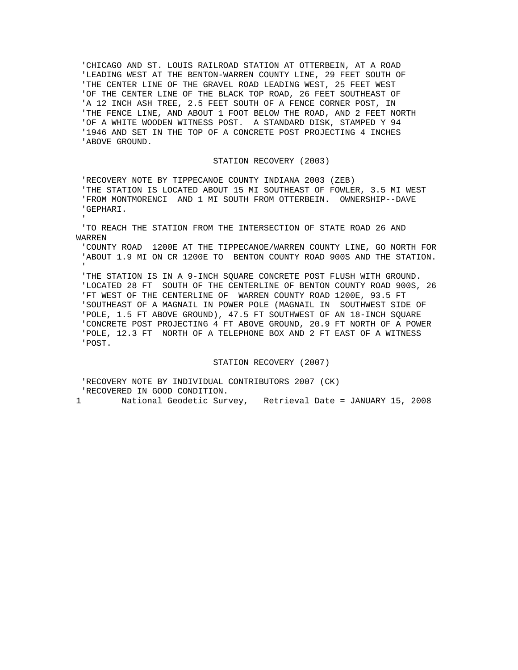'CHICAGO AND ST. LOUIS RAILROAD STATION AT OTTERBEIN, AT A ROAD 'LEADING WEST AT THE BENTON-WARREN COUNTY LINE, 29 FEET SOUTH OF 'THE CENTER LINE OF THE GRAVEL ROAD LEADING WEST, 25 FEET WEST 'OF THE CENTER LINE OF THE BLACK TOP ROAD, 26 FEET SOUTHEAST OF 'A 12 INCH ASH TREE, 2.5 FEET SOUTH OF A FENCE CORNER POST, IN 'THE FENCE LINE, AND ABOUT 1 FOOT BELOW THE ROAD, AND 2 FEET NORTH 'OF A WHITE WOODEN WITNESS POST. A STANDARD DISK, STAMPED Y 94 '1946 AND SET IN THE TOP OF A CONCRETE POST PROJECTING 4 INCHES 'ABOVE GROUND.

## STATION RECOVERY (2003)

'RECOVERY NOTE BY TIPPECANOE COUNTY INDIANA 2003 (ZEB)

 'THE STATION IS LOCATED ABOUT 15 MI SOUTHEAST OF FOWLER, 3.5 MI WEST 'FROM MONTMORENCI AND 1 MI SOUTH FROM OTTERBEIN. OWNERSHIP--DAVE 'GEPHARI.

 'TO REACH THE STATION FROM THE INTERSECTION OF STATE ROAD 26 AND WARREN

 'COUNTY ROAD 1200E AT THE TIPPECANOE/WARREN COUNTY LINE, GO NORTH FOR 'ABOUT 1.9 MI ON CR 1200E TO BENTON COUNTY ROAD 900S AND THE STATION.  $\mathcal{I}$ 

 'THE STATION IS IN A 9-INCH SQUARE CONCRETE POST FLUSH WITH GROUND. 'LOCATED 28 FT SOUTH OF THE CENTERLINE OF BENTON COUNTY ROAD 900S, 26 'FT WEST OF THE CENTERLINE OF WARREN COUNTY ROAD 1200E, 93.5 FT 'SOUTHEAST OF A MAGNAIL IN POWER POLE (MAGNAIL IN SOUTHWEST SIDE OF 'POLE, 1.5 FT ABOVE GROUND), 47.5 FT SOUTHWEST OF AN 18-INCH SQUARE 'CONCRETE POST PROJECTING 4 FT ABOVE GROUND, 20.9 FT NORTH OF A POWER 'POLE, 12.3 FT NORTH OF A TELEPHONE BOX AND 2 FT EAST OF A WITNESS 'POST.

STATION RECOVERY (2007)

 'RECOVERY NOTE BY INDIVIDUAL CONTRIBUTORS 2007 (CK) 'RECOVERED IN GOOD CONDITION.

 $\mathcal{I}$ 

1 National Geodetic Survey, Retrieval Date = JANUARY 15, 2008